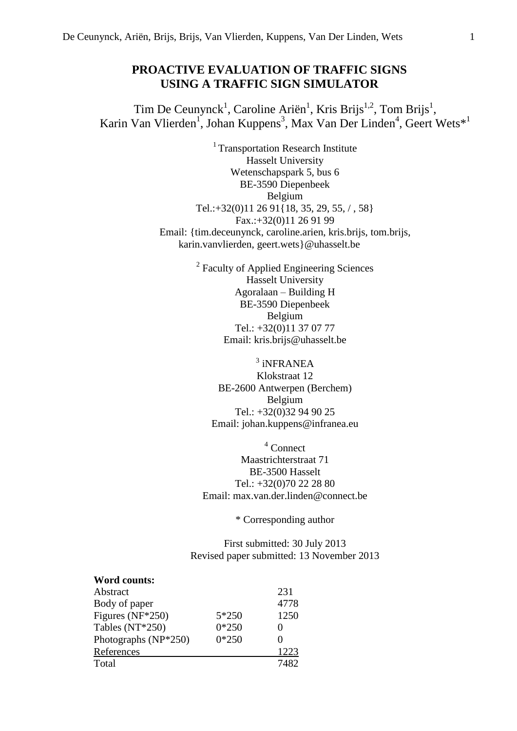# **PROACTIVE EVALUATION OF TRAFFIC SIGNS USING A TRAFFIC SIGN SIMULATOR**

Tim De Ceunynck<sup>1</sup>, Caroline Ariën<sup>1</sup>, Kris Brijs<sup>1,2</sup>, Tom Brijs<sup>1</sup>, Karin Van Vlierden<sup>1</sup>, Johan Kuppens<sup>3</sup>, Max Van Der Linden<sup>4</sup>, Geert Wets<sup>\*1</sup>

> $1$ Transportation Research Institute Hasselt University Wetenschapspark 5, bus 6 BE-3590 Diepenbeek Belgium Tel.:+32(0)11 26 91{18, 35, 29, 55, / , 58} Fax.:+32(0)11 26 91 99 Email: {tim.deceunynck, caroline.arien, kris.brijs, tom.brijs, karin.vanvlierden, geert.wets}@uhasselt.be

> > <sup>2</sup> Faculty of Applied Engineering Sciences Hasselt University Agoralaan – Building H BE-3590 Diepenbeek Belgium Tel.: +32(0)11 37 07 77 Email: kris.brijs@uhasselt.be

3 iNFRANEA Klokstraat 12 BE-2600 Antwerpen (Berchem) Belgium Tel.: +32(0)32 94 90 25 Email: johan.kuppens@infranea.eu

<sup>4</sup> Connect Maastrichterstraat 71 BE-3500 Hasselt Tel.: +32(0)70 22 28 80 Email: max.van.der.linden@connect.be

\* Corresponding author

First submitted: 30 July 2013 Revised paper submitted: 13 November 2013

# **Word counts:**

| Abstract             |         | 231  |
|----------------------|---------|------|
| Body of paper        |         | 4778 |
| Figures (NF*250)     | $5*250$ | 1250 |
| Tables (NT*250)      | $0*250$ |      |
| Photographs (NP*250) | $0*250$ |      |
| References           |         | 1223 |
| Total                |         | 7482 |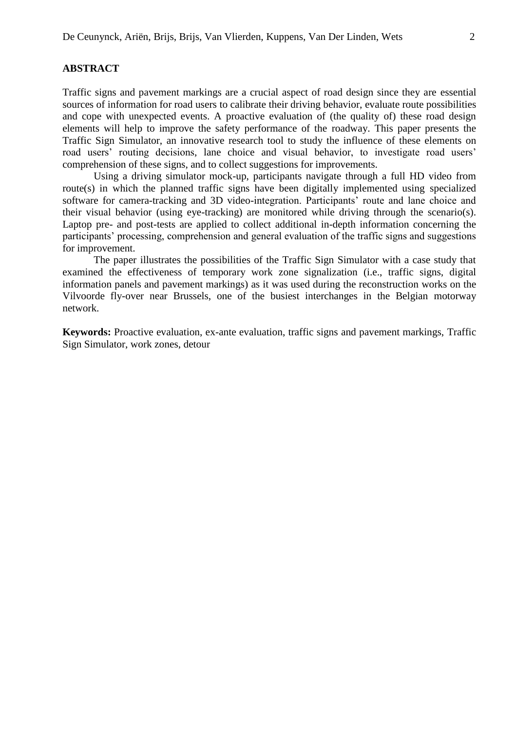Traffic signs and pavement markings are a crucial aspect of road design since they are essential sources of information for road users to calibrate their driving behavior, evaluate route possibilities and cope with unexpected events. A proactive evaluation of (the quality of) these road design elements will help to improve the safety performance of the roadway. This paper presents the Traffic Sign Simulator, an innovative research tool to study the influence of these elements on road users' routing decisions, lane choice and visual behavior, to investigate road users' comprehension of these signs, and to collect suggestions for improvements.

Using a driving simulator mock-up, participants navigate through a full HD video from route(s) in which the planned traffic signs have been digitally implemented using specialized software for camera-tracking and 3D video-integration. Participants' route and lane choice and their visual behavior (using eye-tracking) are monitored while driving through the scenario(s). Laptop pre- and post-tests are applied to collect additional in-depth information concerning the participants' processing, comprehension and general evaluation of the traffic signs and suggestions for improvement.

The paper illustrates the possibilities of the Traffic Sign Simulator with a case study that examined the effectiveness of temporary work zone signalization (i.e., traffic signs, digital information panels and pavement markings) as it was used during the reconstruction works on the Vilvoorde fly-over near Brussels, one of the busiest interchanges in the Belgian motorway network.

**Keywords:** Proactive evaluation, ex-ante evaluation, traffic signs and pavement markings, Traffic Sign Simulator, work zones, detour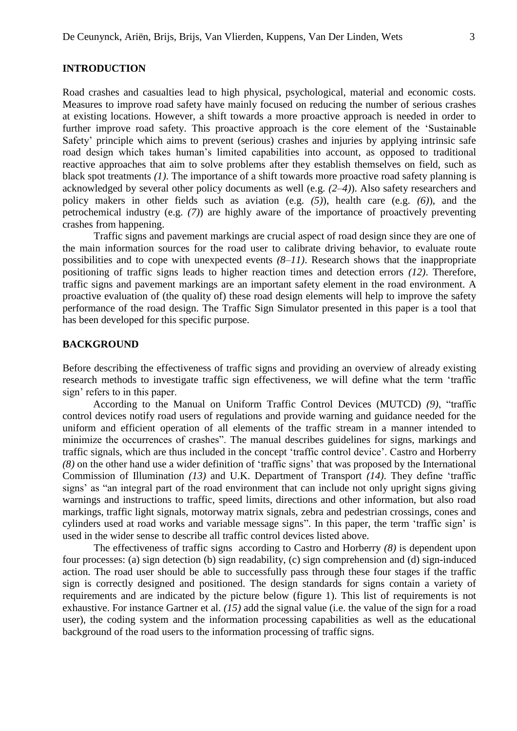#### **INTRODUCTION**

Road crashes and casualties lead to high physical, psychological, material and economic costs. Measures to improve road safety have mainly focused on reducing the number of serious crashes at existing locations. However, a shift towards a more proactive approach is needed in order to further improve road safety. This proactive approach is the core element of the 'Sustainable Safety' principle which aims to prevent (serious) crashes and injuries by applying intrinsic safe road design which takes human's limited capabilities into account, as opposed to traditional reactive approaches that aim to solve problems after they establish themselves on field, such as black spot treatments *(1)*. The importance of a shift towards more proactive road safety planning is acknowledged by several other policy documents as well (e.g. *(2–4)*). Also safety researchers and policy makers in other fields such as aviation (e.g. *(5)*), health care (e.g. *(6)*), and the petrochemical industry (e.g. *(7)*) are highly aware of the importance of proactively preventing crashes from happening.

Traffic signs and pavement markings are crucial aspect of road design since they are one of the main information sources for the road user to calibrate driving behavior, to evaluate route possibilities and to cope with unexpected events *(8–11)*. Research shows that the inappropriate positioning of traffic signs leads to higher reaction times and detection errors *(12)*. Therefore, traffic signs and pavement markings are an important safety element in the road environment. A proactive evaluation of (the quality of) these road design elements will help to improve the safety performance of the road design. The Traffic Sign Simulator presented in this paper is a tool that has been developed for this specific purpose.

## **BACKGROUND**

Before describing the effectiveness of traffic signs and providing an overview of already existing research methods to investigate traffic sign effectiveness, we will define what the term 'traffic sign' refers to in this paper.

According to the Manual on Uniform Traffic Control Devices (MUTCD) *(9)*, "traffic control devices notify road users of regulations and provide warning and guidance needed for the uniform and efficient operation of all elements of the traffic stream in a manner intended to minimize the occurrences of crashes". The manual describes guidelines for signs, markings and traffic signals, which are thus included in the concept 'traffic control device'. Castro and Horberry *(8)* on the other hand use a wider definition of 'traffic signs' that was proposed by the International Commission of Illumination *(13)* and U.K. Department of Transport *(14)*. They define 'traffic signs' as "an integral part of the road environment that can include not only upright signs giving warnings and instructions to traffic, speed limits, directions and other information, but also road markings, traffic light signals, motorway matrix signals, zebra and pedestrian crossings, cones and cylinders used at road works and variable message signs". In this paper, the term 'traffic sign' is used in the wider sense to describe all traffic control devices listed above.

The effectiveness of traffic signs according to Castro and Horberry *(8)* is dependent upon four processes: (a) sign detection (b) sign readability, (c) sign comprehension and (d) sign-induced action. The road user should be able to successfully pass through these four stages if the traffic sign is correctly designed and positioned. The design standards for signs contain a variety of requirements and are indicated by the picture below (figure 1). This list of requirements is not exhaustive. For instance Gartner et al. *(15)* add the signal value (i.e. the value of the sign for a road user), the coding system and the information processing capabilities as well as the educational background of the road users to the information processing of traffic signs.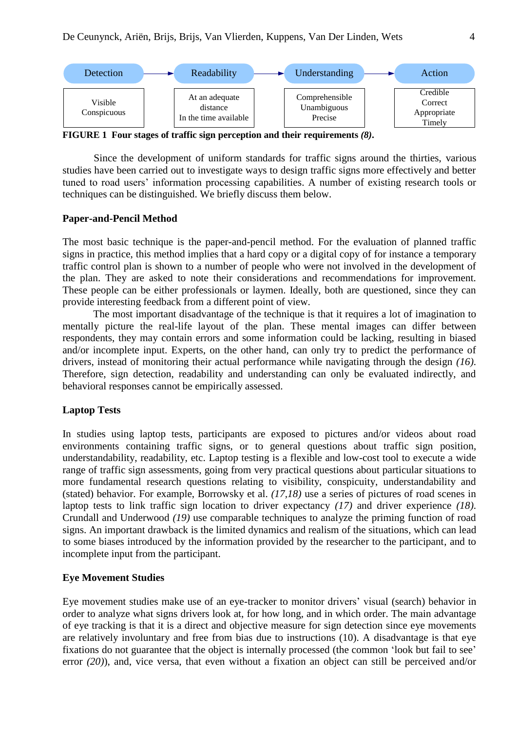

**FIGURE 1 Four stages of traffic sign perception and their requirements** *(8)***.**

Since the development of uniform standards for traffic signs around the thirties, various studies have been carried out to investigate ways to design traffic signs more effectively and better tuned to road users' information processing capabilities. A number of existing research tools or techniques can be distinguished. We briefly discuss them below.

#### **Paper-and-Pencil Method**

The most basic technique is the paper-and-pencil method. For the evaluation of planned traffic signs in practice, this method implies that a hard copy or a digital copy of for instance a temporary traffic control plan is shown to a number of people who were not involved in the development of the plan. They are asked to note their considerations and recommendations for improvement. These people can be either professionals or laymen. Ideally, both are questioned, since they can provide interesting feedback from a different point of view.

The most important disadvantage of the technique is that it requires a lot of imagination to mentally picture the real-life layout of the plan. These mental images can differ between respondents, they may contain errors and some information could be lacking, resulting in biased and/or incomplete input. Experts, on the other hand, can only try to predict the performance of drivers, instead of monitoring their actual performance while navigating through the design *(16)*. Therefore, sign detection, readability and understanding can only be evaluated indirectly, and behavioral responses cannot be empirically assessed.

# **Laptop Tests**

In studies using laptop tests, participants are exposed to pictures and/or videos about road environments containing traffic signs, or to general questions about traffic sign position, understandability, readability, etc. Laptop testing is a flexible and low-cost tool to execute a wide range of traffic sign assessments, going from very practical questions about particular situations to more fundamental research questions relating to visibility, conspicuity, understandability and (stated) behavior. For example, Borrowsky et al. *(17,18)* use a series of pictures of road scenes in laptop tests to link traffic sign location to driver expectancy *(17)* and driver experience *(18)*. Crundall and Underwood *(19)* use comparable techniques to analyze the priming function of road signs. An important drawback is the limited dynamics and realism of the situations, which can lead to some biases introduced by the information provided by the researcher to the participant, and to incomplete input from the participant.

# **Eye Movement Studies**

Eye movement studies make use of an eye-tracker to monitor drivers' visual (search) behavior in order to analyze what signs drivers look at, for how long, and in which order. The main advantage of eye tracking is that it is a direct and objective measure for sign detection since eye movements are relatively involuntary and free from bias due to instructions (10). A disadvantage is that eye fixations do not guarantee that the object is internally processed (the common 'look but fail to see' error *(20)*), and, vice versa, that even without a fixation an object can still be perceived and/or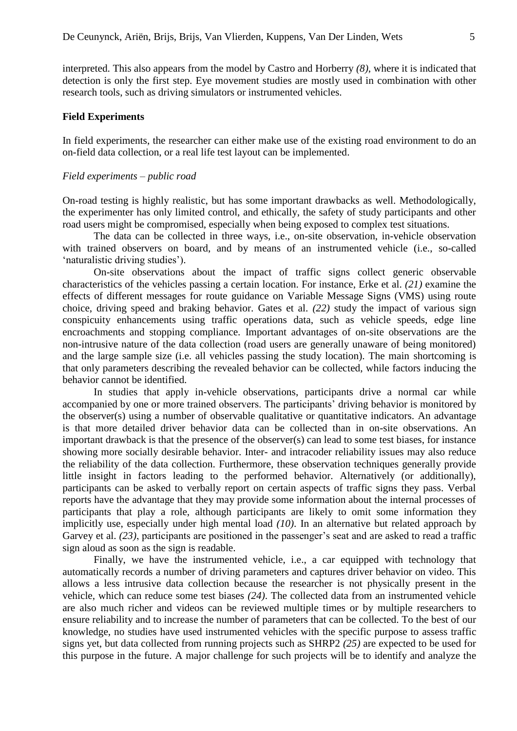interpreted. This also appears from the model by Castro and Horberry *(8)*, where it is indicated that detection is only the first step. Eye movement studies are mostly used in combination with other research tools, such as driving simulators or instrumented vehicles.

#### **Field Experiments**

In field experiments, the researcher can either make use of the existing road environment to do an on-field data collection, or a real life test layout can be implemented.

# *Field experiments – public road*

On-road testing is highly realistic, but has some important drawbacks as well. Methodologically, the experimenter has only limited control, and ethically, the safety of study participants and other road users might be compromised, especially when being exposed to complex test situations.

The data can be collected in three ways, i.e., on-site observation, in-vehicle observation with trained observers on board, and by means of an instrumented vehicle (i.e., so-called 'naturalistic driving studies').

On-site observations about the impact of traffic signs collect generic observable characteristics of the vehicles passing a certain location. For instance, Erke et al. *(21)* examine the effects of different messages for route guidance on Variable Message Signs (VMS) using route choice, driving speed and braking behavior. Gates et al. *(22)* study the impact of various sign conspicuity enhancements using traffic operations data, such as vehicle speeds, edge line encroachments and stopping compliance. Important advantages of on-site observations are the non-intrusive nature of the data collection (road users are generally unaware of being monitored) and the large sample size (i.e. all vehicles passing the study location). The main shortcoming is that only parameters describing the revealed behavior can be collected, while factors inducing the behavior cannot be identified.

In studies that apply in-vehicle observations, participants drive a normal car while accompanied by one or more trained observers. The participants' driving behavior is monitored by the observer(s) using a number of observable qualitative or quantitative indicators. An advantage is that more detailed driver behavior data can be collected than in on-site observations. An important drawback is that the presence of the observer(s) can lead to some test biases, for instance showing more socially desirable behavior. Inter- and intracoder reliability issues may also reduce the reliability of the data collection. Furthermore, these observation techniques generally provide little insight in factors leading to the performed behavior. Alternatively (or additionally), participants can be asked to verbally report on certain aspects of traffic signs they pass. Verbal reports have the advantage that they may provide some information about the internal processes of participants that play a role, although participants are likely to omit some information they implicitly use, especially under high mental load *(10)*. In an alternative but related approach by Garvey et al. *(23)*, participants are positioned in the passenger's seat and are asked to read a traffic sign aloud as soon as the sign is readable.

Finally, we have the instrumented vehicle, i.e., a car equipped with technology that automatically records a number of driving parameters and captures driver behavior on video. This allows a less intrusive data collection because the researcher is not physically present in the vehicle, which can reduce some test biases *(24)*. The collected data from an instrumented vehicle are also much richer and videos can be reviewed multiple times or by multiple researchers to ensure reliability and to increase the number of parameters that can be collected. To the best of our knowledge, no studies have used instrumented vehicles with the specific purpose to assess traffic signs yet, but data collected from running projects such as SHRP2 *(25)* are expected to be used for this purpose in the future. A major challenge for such projects will be to identify and analyze the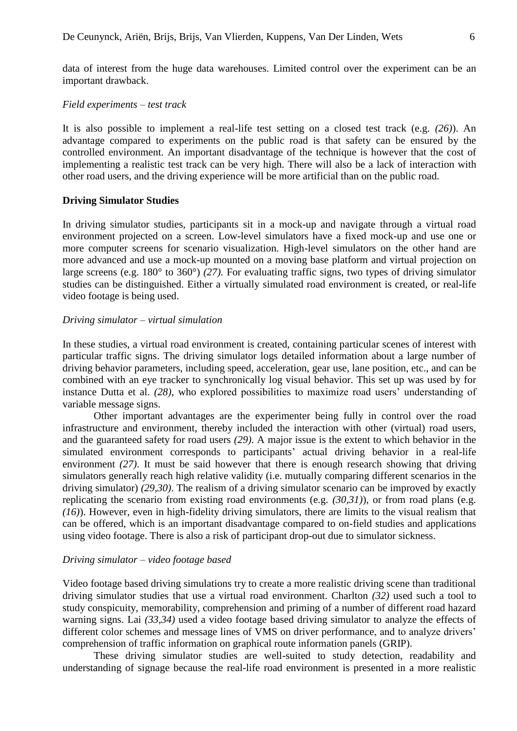data of interest from the huge data warehouses. Limited control over the experiment can be an important drawback.

# *Field experiments – test track*

It is also possible to implement a real-life test setting on a closed test track (e.g. *(26)*). An advantage compared to experiments on the public road is that safety can be ensured by the controlled environment. An important disadvantage of the technique is however that the cost of implementing a realistic test track can be very high. There will also be a lack of interaction with other road users, and the driving experience will be more artificial than on the public road.

# **Driving Simulator Studies**

In driving simulator studies, participants sit in a mock-up and navigate through a virtual road environment projected on a screen. Low-level simulators have a fixed mock-up and use one or more computer screens for scenario visualization. High-level simulators on the other hand are more advanced and use a mock-up mounted on a moving base platform and virtual projection on large screens (e.g. 180° to 360°) *(27)*. For evaluating traffic signs, two types of driving simulator studies can be distinguished. Either a virtually simulated road environment is created, or real-life video footage is being used.

# *Driving simulator – virtual simulation*

In these studies, a virtual road environment is created, containing particular scenes of interest with particular traffic signs. The driving simulator logs detailed information about a large number of driving behavior parameters, including speed, acceleration, gear use, lane position, etc., and can be combined with an eye tracker to synchronically log visual behavior. This set up was used by for instance Dutta et al. *(28)*, who explored possibilities to maximize road users' understanding of variable message signs.

Other important advantages are the experimenter being fully in control over the road infrastructure and environment, thereby included the interaction with other (virtual) road users, and the guaranteed safety for road users *(29)*. A major issue is the extent to which behavior in the simulated environment corresponds to participants' actual driving behavior in a real-life environment *(27)*. It must be said however that there is enough research showing that driving simulators generally reach high relative validity (i.e. mutually comparing different scenarios in the driving simulator) *(29,30)*. The realism of a driving simulator scenario can be improved by exactly replicating the scenario from existing road environments (e.g. *(30,31)*), or from road plans (e.g. *(16)*). However, even in high-fidelity driving simulators, there are limits to the visual realism that can be offered, which is an important disadvantage compared to on-field studies and applications using video footage. There is also a risk of participant drop-out due to simulator sickness.

# *Driving simulator – video footage based*

Video footage based driving simulations try to create a more realistic driving scene than traditional driving simulator studies that use a virtual road environment. Charlton *(32)* used such a tool to study conspicuity, memorability, comprehension and priming of a number of different road hazard warning signs. Lai *(33,34)* used a video footage based driving simulator to analyze the effects of different color schemes and message lines of VMS on driver performance, and to analyze drivers' comprehension of traffic information on graphical route information panels (GRIP).

These driving simulator studies are well-suited to study detection, readability and understanding of signage because the real-life road environment is presented in a more realistic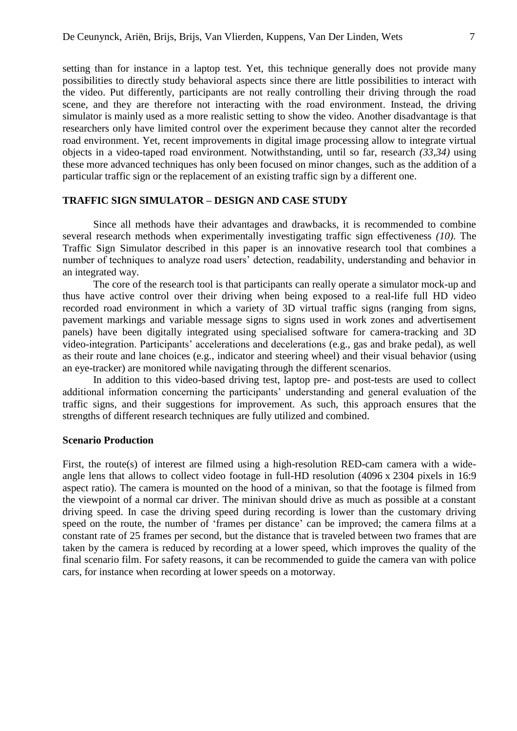setting than for instance in a laptop test. Yet, this technique generally does not provide many possibilities to directly study behavioral aspects since there are little possibilities to interact with the video. Put differently, participants are not really controlling their driving through the road scene, and they are therefore not interacting with the road environment. Instead, the driving simulator is mainly used as a more realistic setting to show the video. Another disadvantage is that researchers only have limited control over the experiment because they cannot alter the recorded road environment. Yet, recent improvements in digital image processing allow to integrate virtual objects in a video-taped road environment. Notwithstanding, until so far, research *(33,34)* using these more advanced techniques has only been focused on minor changes, such as the addition of a particular traffic sign or the replacement of an existing traffic sign by a different one.

## **TRAFFIC SIGN SIMULATOR – DESIGN AND CASE STUDY**

Since all methods have their advantages and drawbacks, it is recommended to combine several research methods when experimentally investigating traffic sign effectiveness *(10)*. The Traffic Sign Simulator described in this paper is an innovative research tool that combines a number of techniques to analyze road users' detection, readability, understanding and behavior in an integrated way.

The core of the research tool is that participants can really operate a simulator mock-up and thus have active control over their driving when being exposed to a real-life full HD video recorded road environment in which a variety of 3D virtual traffic signs (ranging from signs, pavement markings and variable message signs to signs used in work zones and advertisement panels) have been digitally integrated using specialised software for camera-tracking and 3D video-integration. Participants' accelerations and decelerations (e.g., gas and brake pedal), as well as their route and lane choices (e.g., indicator and steering wheel) and their visual behavior (using an eye-tracker) are monitored while navigating through the different scenarios.

In addition to this video-based driving test, laptop pre- and post-tests are used to collect additional information concerning the participants' understanding and general evaluation of the traffic signs, and their suggestions for improvement. As such, this approach ensures that the strengths of different research techniques are fully utilized and combined.

## **Scenario Production**

First, the route(s) of interest are filmed using a high-resolution RED-cam camera with a wideangle lens that allows to collect video footage in full-HD resolution (4096 x 2304 pixels in 16:9 aspect ratio). The camera is mounted on the hood of a minivan, so that the footage is filmed from the viewpoint of a normal car driver. The minivan should drive as much as possible at a constant driving speed. In case the driving speed during recording is lower than the customary driving speed on the route, the number of 'frames per distance' can be improved; the camera films at a constant rate of 25 frames per second, but the distance that is traveled between two frames that are taken by the camera is reduced by recording at a lower speed, which improves the quality of the final scenario film. For safety reasons, it can be recommended to guide the camera van with police cars, for instance when recording at lower speeds on a motorway.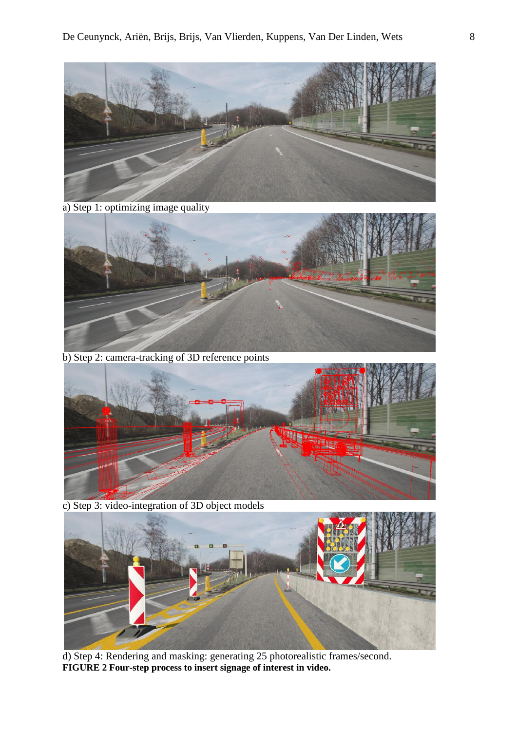

a) Step 1: optimizing image quality



b) Step 2: camera-tracking of 3D reference points



c) Step 3: video-integration of 3D object models



d) Step 4: Rendering and masking: generating 25 photorealistic frames/second. **FIGURE 2 Four-step process to insert signage of interest in video.**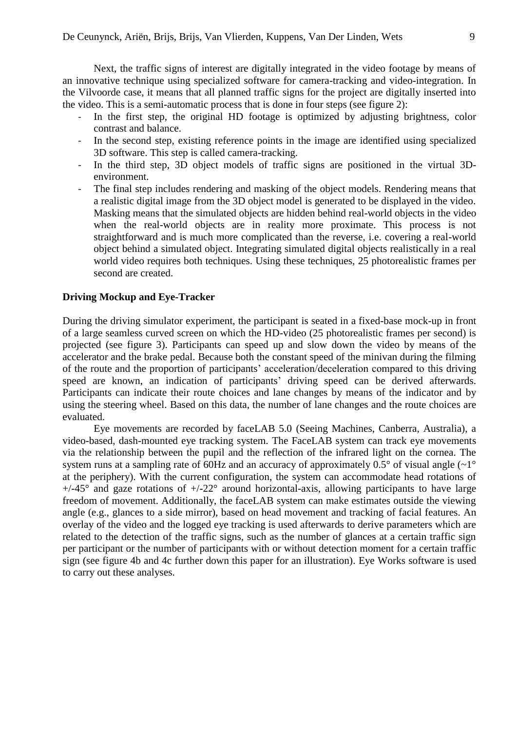Next, the traffic signs of interest are digitally integrated in the video footage by means of an innovative technique using specialized software for camera-tracking and video-integration. In the Vilvoorde case, it means that all planned traffic signs for the project are digitally inserted into the video. This is a semi-automatic process that is done in four steps (see figure 2):

- In the first step, the original HD footage is optimized by adjusting brightness, color contrast and balance.
- In the second step, existing reference points in the image are identified using specialized 3D software. This step is called camera-tracking.
- In the third step, 3D object models of traffic signs are positioned in the virtual 3Denvironment.
- The final step includes rendering and masking of the object models. Rendering means that a realistic digital image from the 3D object model is generated to be displayed in the video. Masking means that the simulated objects are hidden behind real-world objects in the video when the real-world objects are in reality more proximate. This process is not straightforward and is much more complicated than the reverse, i.e. covering a real-world object behind a simulated object. Integrating simulated digital objects realistically in a real world video requires both techniques. Using these techniques, 25 photorealistic frames per second are created.

# **Driving Mockup and Eye-Tracker**

During the driving simulator experiment, the participant is seated in a fixed-base mock-up in front of a large seamless curved screen on which the HD-video (25 photorealistic frames per second) is projected (see figure 3). Participants can speed up and slow down the video by means of the accelerator and the brake pedal. Because both the constant speed of the minivan during the filming of the route and the proportion of participants' acceleration/deceleration compared to this driving speed are known, an indication of participants' driving speed can be derived afterwards. Participants can indicate their route choices and lane changes by means of the indicator and by using the steering wheel. Based on this data, the number of lane changes and the route choices are evaluated.

Eye movements are recorded by faceLAB 5.0 (Seeing Machines, Canberra, Australia), a video-based, dash-mounted eye tracking system. The FaceLAB system can track eye movements via the relationship between the pupil and the reflection of the infrared light on the cornea. The system runs at a sampling rate of 60Hz and an accuracy of approximately  $0.5^{\circ}$  of visual angle  $(\sim1^{\circ}$ at the periphery). With the current configuration, the system can accommodate head rotations of  $+/-45^{\circ}$  and gaze rotations of  $+/-22^{\circ}$  around horizontal-axis, allowing participants to have large freedom of movement. Additionally, the faceLAB system can make estimates outside the viewing angle (e.g., glances to a side mirror), based on head movement and tracking of facial features. An overlay of the video and the logged eye tracking is used afterwards to derive parameters which are related to the detection of the traffic signs, such as the number of glances at a certain traffic sign per participant or the number of participants with or without detection moment for a certain traffic sign (see figure 4b and 4c further down this paper for an illustration). Eye Works software is used to carry out these analyses.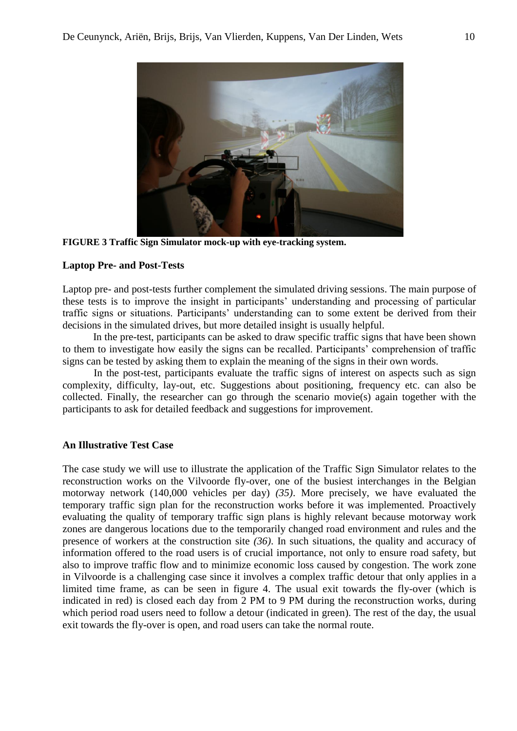

**FIGURE 3 Traffic Sign Simulator mock-up with eye-tracking system.**

# **Laptop Pre- and Post-Tests**

Laptop pre- and post-tests further complement the simulated driving sessions. The main purpose of these tests is to improve the insight in participants' understanding and processing of particular traffic signs or situations. Participants' understanding can to some extent be derived from their decisions in the simulated drives, but more detailed insight is usually helpful.

In the pre-test, participants can be asked to draw specific traffic signs that have been shown to them to investigate how easily the signs can be recalled. Participants' comprehension of traffic signs can be tested by asking them to explain the meaning of the signs in their own words.

In the post-test, participants evaluate the traffic signs of interest on aspects such as sign complexity, difficulty, lay-out, etc. Suggestions about positioning, frequency etc. can also be collected. Finally, the researcher can go through the scenario movie(s) again together with the participants to ask for detailed feedback and suggestions for improvement.

# **An Illustrative Test Case**

The case study we will use to illustrate the application of the Traffic Sign Simulator relates to the reconstruction works on the Vilvoorde fly-over, one of the busiest interchanges in the Belgian motorway network (140,000 vehicles per day) *(35)*. More precisely, we have evaluated the temporary traffic sign plan for the reconstruction works before it was implemented. Proactively evaluating the quality of temporary traffic sign plans is highly relevant because motorway work zones are dangerous locations due to the temporarily changed road environment and rules and the presence of workers at the construction site *(36)*. In such situations, the quality and accuracy of information offered to the road users is of crucial importance, not only to ensure road safety, but also to improve traffic flow and to minimize economic loss caused by congestion. The work zone in Vilvoorde is a challenging case since it involves a complex traffic detour that only applies in a limited time frame, as can be seen in figure 4. The usual exit towards the fly-over (which is indicated in red) is closed each day from 2 PM to 9 PM during the reconstruction works, during which period road users need to follow a detour (indicated in green). The rest of the day, the usual exit towards the fly-over is open, and road users can take the normal route.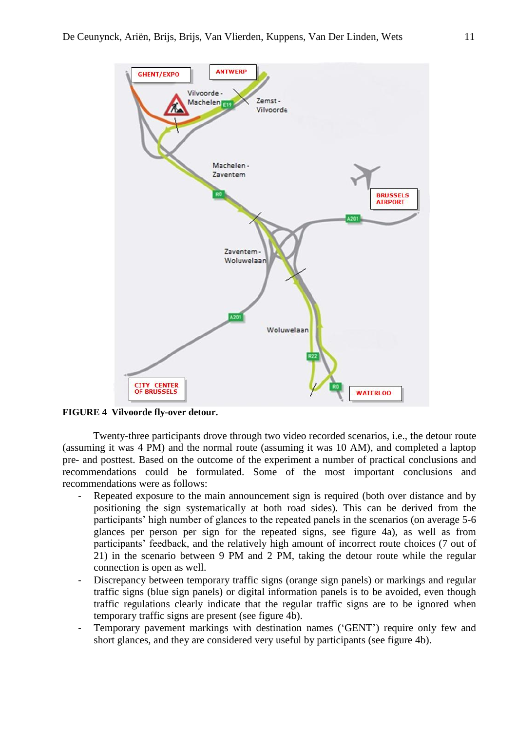

**FIGURE 4 Vilvoorde fly-over detour.**

Twenty-three participants drove through two video recorded scenarios, i.e., the detour route (assuming it was 4 PM) and the normal route (assuming it was 10 AM), and completed a laptop pre- and posttest. Based on the outcome of the experiment a number of practical conclusions and recommendations could be formulated. Some of the most important conclusions and recommendations were as follows:

- Repeated exposure to the main announcement sign is required (both over distance and by positioning the sign systematically at both road sides). This can be derived from the participants' high number of glances to the repeated panels in the scenarios (on average 5-6 glances per person per sign for the repeated signs, see figure 4a), as well as from participants' feedback, and the relatively high amount of incorrect route choices (7 out of 21) in the scenario between 9 PM and 2 PM, taking the detour route while the regular connection is open as well.
- Discrepancy between temporary traffic signs (orange sign panels) or markings and regular traffic signs (blue sign panels) or digital information panels is to be avoided, even though traffic regulations clearly indicate that the regular traffic signs are to be ignored when temporary traffic signs are present (see figure 4b).
- Temporary pavement markings with destination names ('GENT') require only few and short glances, and they are considered very useful by participants (see figure 4b).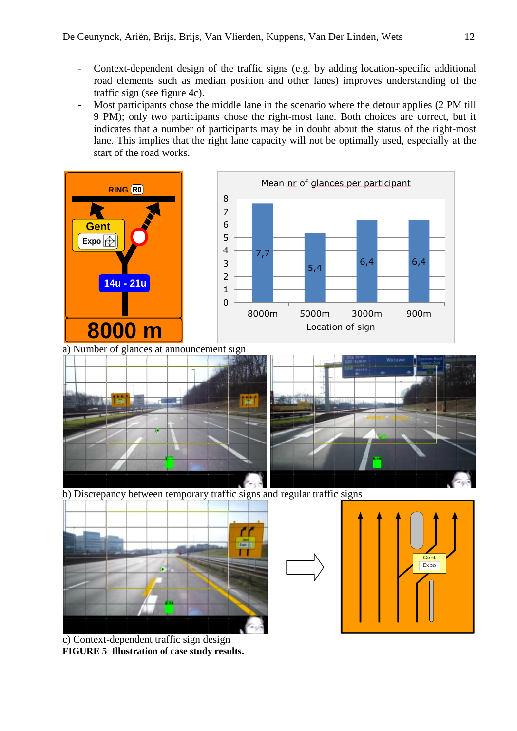- Context-dependent design of the traffic signs (e.g. by adding location-specific additional road elements such as median position and other lanes) improves understanding of the traffic sign (see figure 4c).
- Most participants chose the middle lane in the scenario where the detour applies (2 PM till 9 PM); only two participants chose the right-most lane. Both choices are correct, but it indicates that a number of participants may be in doubt about the status of the right-most lane. This implies that the right lane capacity will not be optimally used, especially at the start of the road works.



c) Context-dependent traffic sign design **FIGURE 5 Illustration of case study results.**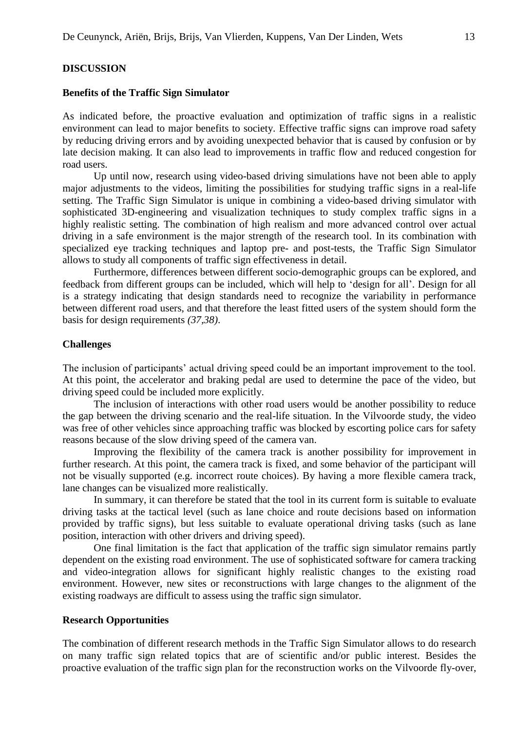#### **Benefits of the Traffic Sign Simulator**

As indicated before, the proactive evaluation and optimization of traffic signs in a realistic environment can lead to major benefits to society. Effective traffic signs can improve road safety by reducing driving errors and by avoiding unexpected behavior that is caused by confusion or by late decision making. It can also lead to improvements in traffic flow and reduced congestion for road users.

Up until now, research using video-based driving simulations have not been able to apply major adjustments to the videos, limiting the possibilities for studying traffic signs in a real-life setting. The Traffic Sign Simulator is unique in combining a video-based driving simulator with sophisticated 3D-engineering and visualization techniques to study complex traffic signs in a highly realistic setting. The combination of high realism and more advanced control over actual driving in a safe environment is the major strength of the research tool. In its combination with specialized eye tracking techniques and laptop pre- and post-tests, the Traffic Sign Simulator allows to study all components of traffic sign effectiveness in detail.

Furthermore, differences between different socio-demographic groups can be explored, and feedback from different groups can be included, which will help to 'design for all'. Design for all is a strategy indicating that design standards need to recognize the variability in performance between different road users, and that therefore the least fitted users of the system should form the basis for design requirements *(37,38)*.

# **Challenges**

The inclusion of participants' actual driving speed could be an important improvement to the tool. At this point, the accelerator and braking pedal are used to determine the pace of the video, but driving speed could be included more explicitly.

The inclusion of interactions with other road users would be another possibility to reduce the gap between the driving scenario and the real-life situation. In the Vilvoorde study, the video was free of other vehicles since approaching traffic was blocked by escorting police cars for safety reasons because of the slow driving speed of the camera van.

Improving the flexibility of the camera track is another possibility for improvement in further research. At this point, the camera track is fixed, and some behavior of the participant will not be visually supported (e.g. incorrect route choices). By having a more flexible camera track, lane changes can be visualized more realistically.

In summary, it can therefore be stated that the tool in its current form is suitable to evaluate driving tasks at the tactical level (such as lane choice and route decisions based on information provided by traffic signs), but less suitable to evaluate operational driving tasks (such as lane position, interaction with other drivers and driving speed).

One final limitation is the fact that application of the traffic sign simulator remains partly dependent on the existing road environment. The use of sophisticated software for camera tracking and video-integration allows for significant highly realistic changes to the existing road environment. However, new sites or reconstructions with large changes to the alignment of the existing roadways are difficult to assess using the traffic sign simulator.

### **Research Opportunities**

The combination of different research methods in the Traffic Sign Simulator allows to do research on many traffic sign related topics that are of scientific and/or public interest. Besides the proactive evaluation of the traffic sign plan for the reconstruction works on the Vilvoorde fly-over,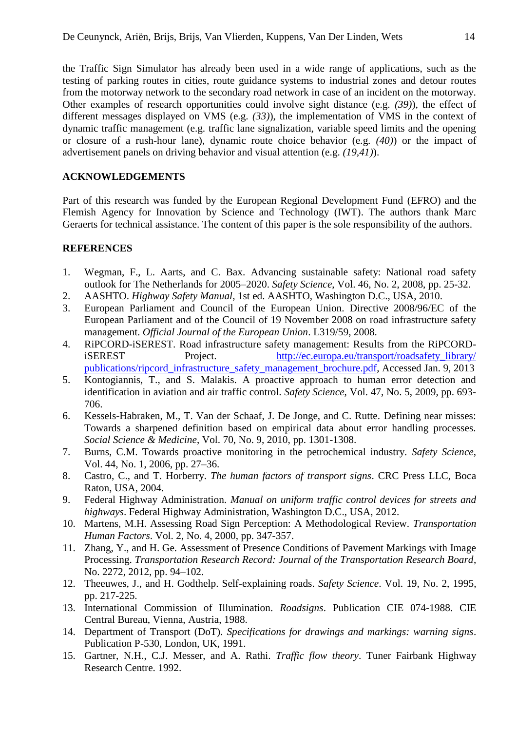the Traffic Sign Simulator has already been used in a wide range of applications, such as the testing of parking routes in cities, route guidance systems to industrial zones and detour routes from the motorway network to the secondary road network in case of an incident on the motorway. Other examples of research opportunities could involve sight distance (e.g. *(39)*), the effect of different messages displayed on VMS (e.g. *(33)*), the implementation of VMS in the context of dynamic traffic management (e.g. traffic lane signalization, variable speed limits and the opening or closure of a rush-hour lane), dynamic route choice behavior (e.g. *(40)*) or the impact of advertisement panels on driving behavior and visual attention (e.g. *(19,41)*).

# **ACKNOWLEDGEMENTS**

Part of this research was funded by the European Regional Development Fund (EFRO) and the Flemish Agency for Innovation by Science and Technology (IWT). The authors thank Marc Geraerts for technical assistance. The content of this paper is the sole responsibility of the authors.

# **REFERENCES**

- 1. Wegman, F., L. Aarts, and C. Bax. Advancing sustainable safety: National road safety outlook for The Netherlands for 2005–2020. *Safety Science*, Vol. 46, No. 2, 2008, pp. 25-32.
- 2. AASHTO. *Highway Safety Manual*, 1st ed. AASHTO, Washington D.C., USA, 2010.
- 3. European Parliament and Council of the European Union. Directive 2008/96/EC of the European Parliament and of the Council of 19 November 2008 on road infrastructure safety management. *Official Journal of the European Union*. L319/59, 2008.
- 4. RiPCORD-iSEREST. Road infrastructure safety management: Results from the RiPCORDiSEREST Project. http://ec.europa.eu/transport/roadsafety\_library/ [publications/ripcord\\_infrastructure\\_safety\\_management\\_brochure.pdf,](http://ec.europa.eu/transport/roadsafety_library/%20publications/ripcord_infrastructure_safety_management_brochure.pdf) Accessed Jan. 9, 2013
- 5. Kontogiannis, T., and S. Malakis. A proactive approach to human error detection and identification in aviation and air traffic control. *Safety Science*, Vol. 47, No. 5, 2009, pp. 693- 706.
- 6. Kessels-Habraken, M., T. Van der Schaaf, J. De Jonge, and C. Rutte. Defining near misses: Towards a sharpened definition based on empirical data about error handling processes. *Social Science & Medicine*, Vol. 70, No. 9, 2010, pp. 1301-1308.
- 7. Burns, C.M. Towards proactive monitoring in the petrochemical industry. *Safety Science*, Vol. 44, No. 1, 2006, pp. 27–36.
- 8. Castro, C., and T. Horberry. *The human factors of transport signs*. CRC Press LLC, Boca Raton, USA, 2004.
- 9. Federal Highway Administration. *Manual on uniform traffic control devices for streets and highways*. Federal Highway Administration, Washington D.C., USA, 2012.
- 10. Martens, M.H. Assessing Road Sign Perception: A Methodological Review. *Transportation Human Factors*. Vol. 2, No. 4, 2000, pp. 347-357.
- 11. Zhang, Y., and H. Ge. Assessment of Presence Conditions of Pavement Markings with Image Processing. *Transportation Research Record: Journal of the Transportation Research Board*, No. 2272, 2012, pp. 94–102.
- 12. Theeuwes, J., and H. Godthelp. Self-explaining roads. *Safety Science*. Vol. 19, No. 2, 1995, pp. 217-225.
- 13. International Commission of Illumination. *Roadsigns*. Publication CIE 074-1988. CIE Central Bureau, Vienna, Austria, 1988.
- 14. Department of Transport (DoT). *Specifications for drawings and markings: warning signs*. Publication P-530, London, UK, 1991.
- 15. Gartner, N.H., C.J. Messer, and A. Rathi. *Traffic flow theory*. Tuner Fairbank Highway Research Centre. 1992.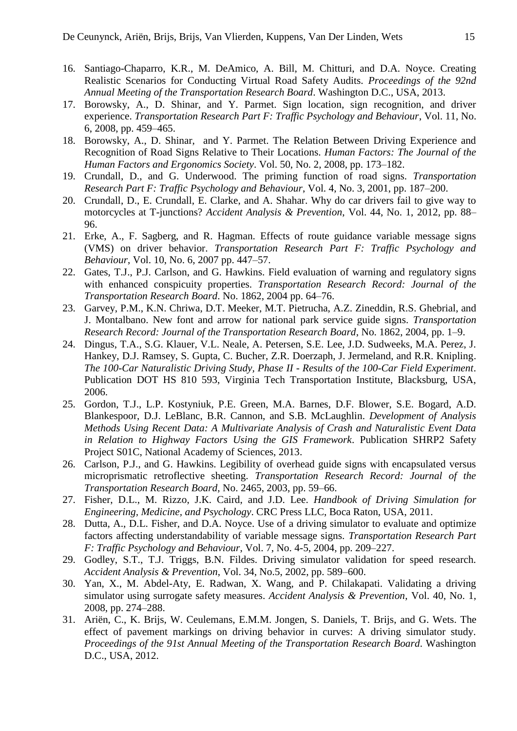- 16. Santiago-Chaparro, K.R., M. DeAmico, A. Bill, M. Chitturi, and D.A. Noyce. Creating Realistic Scenarios for Conducting Virtual Road Safety Audits. *Proceedings of the 92nd Annual Meeting of the Transportation Research Board*. Washington D.C., USA, 2013.
- 17. Borowsky, A., D. Shinar, and Y. Parmet. Sign location, sign recognition, and driver experience. *Transportation Research Part F: Traffic Psychology and Behaviour*, Vol. 11, No. 6, 2008, pp. 459–465.
- 18. Borowsky, A., D. Shinar, and Y. Parmet. The Relation Between Driving Experience and Recognition of Road Signs Relative to Their Locations. *Human Factors: The Journal of the Human Factors and Ergonomics Society*. Vol. 50, No. 2, 2008, pp. 173–182.
- 19. Crundall, D., and G. Underwood. The priming function of road signs. *Transportation Research Part F: Traffic Psychology and Behaviour*, Vol. 4, No. 3, 2001, pp. 187–200.
- 20. Crundall, D., E. Crundall, E. Clarke, and A. Shahar. Why do car drivers fail to give way to motorcycles at T-junctions? *Accident Analysis & Prevention*, Vol. 44, No. 1, 2012, pp. 88– 96.
- 21. Erke, A., F. Sagberg, and R. Hagman. Effects of route guidance variable message signs (VMS) on driver behavior. *Transportation Research Part F: Traffic Psychology and Behaviour*, Vol. 10, No. 6, 2007 pp. 447–57.
- 22. Gates, T.J., P.J. Carlson, and G. Hawkins. Field evaluation of warning and regulatory signs with enhanced conspicuity properties. *Transportation Research Record: Journal of the Transportation Research Board*. No. 1862, 2004 pp. 64–76.
- 23. Garvey, P.M., K.N. Chriwa, D.T. Meeker, M.T. Pietrucha, A.Z. Zineddin, R.S. Ghebrial, and J. Montalbano. New font and arrow for national park service guide signs. *Transportation Research Record: Journal of the Transportation Research Board*, No. 1862, 2004, pp. 1–9.
- 24. Dingus, T.A., S.G. Klauer, V.L. Neale, A. Petersen, S.E. Lee, J.D. Sudweeks, M.A. Perez, J. Hankey, D.J. Ramsey, S. Gupta, C. Bucher, Z.R. Doerzaph, J. Jermeland, and R.R. Knipling. *The 100-Car Naturalistic Driving Study, Phase II - Results of the 100-Car Field Experiment*. Publication DOT HS 810 593, Virginia Tech Transportation Institute, Blacksburg, USA, 2006.
- 25. Gordon, T.J., L.P. Kostyniuk, P.E. Green, M.A. Barnes, D.F. Blower, S.E. Bogard, A.D. Blankespoor, D.J. LeBlanc, B.R. Cannon, and S.B. McLaughlin. *Development of Analysis Methods Using Recent Data: A Multivariate Analysis of Crash and Naturalistic Event Data in Relation to Highway Factors Using the GIS Framework*. Publication SHRP2 Safety Project S01C, National Academy of Sciences, 2013.
- 26. Carlson, P.J., and G. Hawkins. Legibility of overhead guide signs with encapsulated versus microprismatic retroflective sheeting. *Transportation Research Record: Journal of the Transportation Research Board*, No. 2465, 2003, pp. 59–66.
- 27. Fisher, D.L., M. Rizzo, J.K. Caird, and J.D. Lee. *Handbook of Driving Simulation for Engineering, Medicine, and Psychology*. CRC Press LLC, Boca Raton, USA, 2011.
- 28. Dutta, A., D.L. Fisher, and D.A. Noyce. Use of a driving simulator to evaluate and optimize factors affecting understandability of variable message signs. *Transportation Research Part F: Traffic Psychology and Behaviour*, Vol. 7, No. 4-5, 2004, pp. 209–227.
- 29. Godley, S.T., T.J. Triggs, B.N. Fildes. Driving simulator validation for speed research. *Accident Analysis & Prevention*, Vol. 34, No.5, 2002, pp. 589–600.
- 30. Yan, X., M. Abdel-Aty, E. Radwan, X. Wang, and P. Chilakapati. Validating a driving simulator using surrogate safety measures. *Accident Analysis & Prevention*, Vol. 40, No. 1, 2008, pp. 274–288.
- 31. Ariën, C., K. Brijs, W. Ceulemans, E.M.M. Jongen, S. Daniels, T. Brijs, and G. Wets. The effect of pavement markings on driving behavior in curves: A driving simulator study. *Proceedings of the 91st Annual Meeting of the Transportation Research Board*. Washington D.C., USA, 2012.